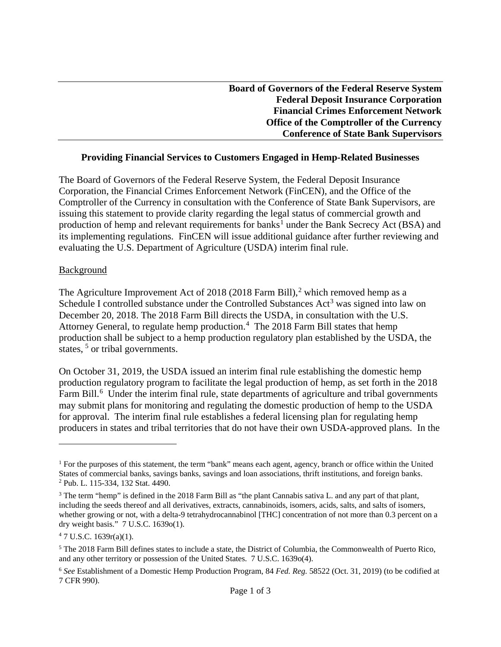| <b>Board of Governors of the Federal Reserve System</b> |
|---------------------------------------------------------|
| <b>Federal Deposit Insurance Corporation</b>            |
| <b>Financial Crimes Enforcement Network</b>             |
| <b>Office of the Comptroller of the Currency</b>        |
| <b>Conference of State Bank Supervisors</b>             |

### **Providing Financial Services to Customers Engaged in Hemp-Related Businesses**

The Board of Governors of the Federal Reserve System, the Federal Deposit Insurance Corporation, the Financial Crimes Enforcement Network (FinCEN), and the Office of the Comptroller of the Currency in consultation with the Conference of State Bank Supervisors, are issuing this statement to provide clarity regarding the legal status of commercial growth and production of hemp and relevant requirements for banks<sup>1</sup> under the Bank Secrecy Act (BSA) and its implementing regulations. FinCEN will issue additional guidance after further reviewing and evaluating the U.S. Department of Agriculture (USDA) interim final rule.

#### Background

The Agriculture Improvement Act of 2018 (2018 Farm Bill),<sup>2</sup> which removed hemp as a December 20, 2018. The 2018 Farm Bill directs the USDA, in consultation with the U.S. Attorney General, to regulate hemp production.<sup>4</sup> The 2018 Farm Bill states that hemp production shall be subject to a hemp production regulatory plan established by the USDA, the Schedule I controlled substance under the Controlled Substances  $Act<sup>3</sup>$  was signed into law on states,  $5$  or tribal governments.

Farm Bill.<sup>6</sup> Under the interim final rule, state departments of agriculture and tribal governments for approval. The interim final rule establishes a federal licensing plan for regulating hemp On October 31, 2019, the USDA issued an interim final rule establishing the domestic hemp production regulatory program to facilitate the legal production of hemp, as set forth in the 2018 may submit plans for monitoring and regulating the domestic production of hemp to the USDA producers in states and tribal territories that do not have their own USDA-approved plans. In the

l

<sup>&</sup>lt;sup>1</sup> For the purposes of this statement, the term "bank" means each agent, agency, branch or office within the United States of commercial banks, savings banks, savings and loan associations, thrift institutions, and foreign banks. 2 Pub. L. 115-334, 132 Stat. 4490.

 $3$  The term "hemp" is defined in the 2018 Farm Bill as "the plant Cannabis sativa L. and any part of that plant, including the seeds thereof and all derivatives, extracts, cannabinoids, isomers, acids, salts, and salts of isomers, whether growing or not, with a delta-9 tetrahydrocannabinol [THC] concentration of not more than 0.3 percent on a dry weight basis." 7 U.S.C. 1639o(1).

 $47$  U.S.C. 1639r(a)(1).

<sup>&</sup>lt;sup>5</sup> The 2018 Farm Bill defines states to include a state, the District of Columbia, the Commonwealth of Puerto Rico, and any other territory or possession of the United States. 7 U.S.C. 1639o(4).

 <sup>6</sup>*See* Establishment of a Domestic Hemp Production Program, 84 *Fed. Reg.* 58522 (Oct. 31, 2019) (to be codified at 7 CFR 990).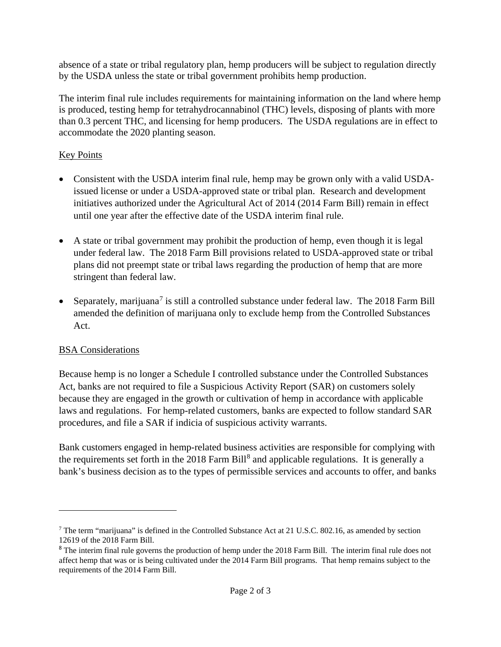absence of a state or tribal regulatory plan, hemp producers will be subject to regulation directly by the USDA unless the state or tribal government prohibits hemp production.

The interim final rule includes requirements for maintaining information on the land where hemp is produced, testing hemp for tetrahydrocannabinol (THC) levels, disposing of plants with more than 0.3 percent THC, and licensing for hemp producers. The USDA regulations are in effect to accommodate the 2020 planting season.

# Key Points

- initiatives authorized under the Agricultural Act of 2014 (2014 Farm Bill) remain in effect • Consistent with the USDA interim final rule, hemp may be grown only with a valid USDAissued license or under a USDA-approved state or tribal plan. Research and development until one year after the effective date of the USDA interim final rule.
- under federal law. The 2018 Farm Bill provisions related to USDA-approved state or tribal stringent than federal law. • A state or tribal government may prohibit the production of hemp, even though it is legal plans did not preempt state or tribal laws regarding the production of hemp that are more
- amended the definition of marijuana only to exclude hemp from the Controlled Substances • Separately, marijuana<sup>7</sup> is still a controlled substance under federal law. The 2018 Farm Bill Act.

## BSA Considerations

 $\overline{\phantom{a}}$ 

 laws and regulations. For hemp-related customers, banks are expected to follow standard SAR Because hemp is no longer a Schedule I controlled substance under the Controlled Substances Act, banks are not required to file a Suspicious Activity Report (SAR) on customers solely because they are engaged in the growth or cultivation of hemp in accordance with applicable procedures, and file a SAR if indicia of suspicious activity warrants.

Bank customers engaged in hemp-related business activities are responsible for complying with the requirements set forth in the 2018 Farm Bill<sup>8</sup> and applicable regulations. It is generally a bank's business decision as to the types of permissible services and accounts to offer, and banks

<sup>&</sup>lt;sup>7</sup> The term "marijuana" is defined in the Controlled Substance Act at 21 U.S.C. 802.16, as amended by section 12619 of the 2018 Farm Bill.

<sup>&</sup>lt;sup>8</sup> The interim final rule governs the production of hemp under the 2018 Farm Bill. The interim final rule does not affect hemp that was or is being cultivated under the 2014 Farm Bill programs. That hemp remains subject to the requirements of the 2014 Farm Bill.